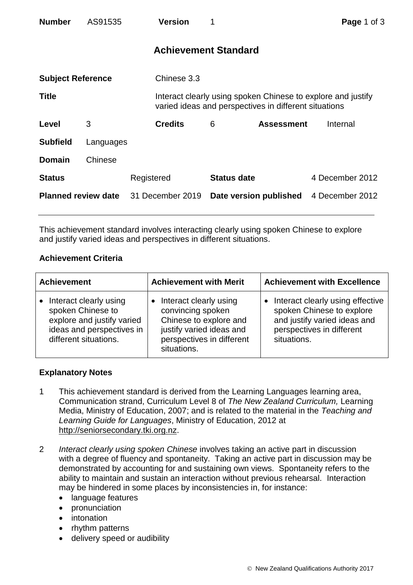| <b>Number</b>              | AS91535   |             | <b>Version</b>              |                        |                                                       | Page 1 of 3                                                  |
|----------------------------|-----------|-------------|-----------------------------|------------------------|-------------------------------------------------------|--------------------------------------------------------------|
|                            |           |             | <b>Achievement Standard</b> |                        |                                                       |                                                              |
| <b>Subject Reference</b>   |           | Chinese 3.3 |                             |                        |                                                       |                                                              |
| <b>Title</b>               |           |             |                             |                        | varied ideas and perspectives in different situations | Interact clearly using spoken Chinese to explore and justify |
| Level                      | 3         |             | <b>Credits</b>              | 6                      | <b>Assessment</b>                                     | Internal                                                     |
| <b>Subfield</b>            | Languages |             |                             |                        |                                                       |                                                              |
| <b>Domain</b>              | Chinese   |             |                             |                        |                                                       |                                                              |
| <b>Status</b>              |           | Registered  |                             | <b>Status date</b>     |                                                       | 4 December 2012                                              |
| <b>Planned review date</b> |           |             | 31 December 2019            | Date version published |                                                       | 4 December 2012                                              |

This achievement standard involves interacting clearly using spoken Chinese to explore and justify varied ideas and perspectives in different situations.

## **Achievement Criteria**

| <b>Achievement</b>                                                                                                              | <b>Achievement with Merit</b>                                                                                                                 | <b>Achievement with Excellence</b>                                                                                                        |  |
|---------------------------------------------------------------------------------------------------------------------------------|-----------------------------------------------------------------------------------------------------------------------------------------------|-------------------------------------------------------------------------------------------------------------------------------------------|--|
| Interact clearly using<br>spoken Chinese to<br>explore and justify varied<br>ideas and perspectives in<br>different situations. | Interact clearly using<br>convincing spoken<br>Chinese to explore and<br>justify varied ideas and<br>perspectives in different<br>situations. | Interact clearly using effective<br>spoken Chinese to explore<br>and justify varied ideas and<br>perspectives in different<br>situations. |  |

## **Explanatory Notes**

- 1 This achievement standard is derived from the Learning Languages learning area, Communication strand, Curriculum Level 8 of *The New Zealand Curriculum,* Learning Media, Ministry of Education, 2007; and is related to the material in the *Teaching and Learning Guide for Languages*, Ministry of Education, 2012 at [http://seniorsecondary.tki.org.nz.](http://seniorsecondary.tki.org.nz/)
- 2 *Interact clearly using spoken Chinese* involves taking an active part in discussion with a degree of fluency and spontaneity. Taking an active part in discussion may be demonstrated by accounting for and sustaining own views. Spontaneity refers to the ability to maintain and sustain an interaction without previous rehearsal. Interaction may be hindered in some places by inconsistencies in, for instance:
	- language features
	- pronunciation
	- intonation
	- rhythm patterns
	- delivery speed or audibility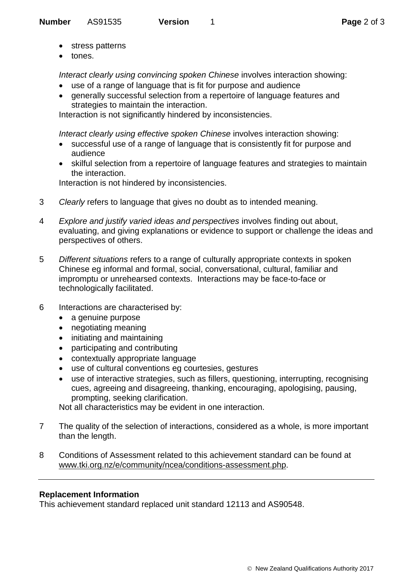- stress patterns
- tones.

*Interact clearly using convincing spoken Chinese* involves interaction showing:

- use of a range of language that is fit for purpose and audience
- generally successful selection from a repertoire of language features and strategies to maintain the interaction.

Interaction is not significantly hindered by inconsistencies.

*Interact clearly using effective spoken Chinese* involves interaction showing:

- successful use of a range of language that is consistently fit for purpose and audience
- skilful selection from a repertoire of language features and strategies to maintain the interaction.

Interaction is not hindered by inconsistencies.

- 3 *Clearly* refers to language that gives no doubt as to intended meaning.
- 4 *Explore and justify varied ideas and perspectives* involves finding out about, evaluating, and giving explanations or evidence to support or challenge the ideas and perspectives of others.
- 5 *Different situations* refers to a range of culturally appropriate contexts in spoken Chinese eg informal and formal, social, conversational, cultural, familiar and impromptu or unrehearsed contexts. Interactions may be face-to-face or technologically facilitated.
- 6 Interactions are characterised by:
	- a genuine purpose
	- negotiating meaning
	- initiating and maintaining
	- participating and contributing
	- contextually appropriate language
	- use of cultural conventions eg courtesies, gestures
	- use of interactive strategies, such as fillers, questioning, interrupting, recognising cues, agreeing and disagreeing, thanking, encouraging, apologising, pausing, prompting, seeking clarification.

Not all characteristics may be evident in one interaction.

- 7 The quality of the selection of interactions, considered as a whole, is more important than the length.
- 8 Conditions of Assessment related to this achievement standard can be found at [www.tki.org.nz/e/community/ncea/conditions-assessment.php.](http://www.tki.org.nz/e/community/ncea/conditions-assessment.php)

## **Replacement Information**

This achievement standard replaced unit standard 12113 and AS90548.